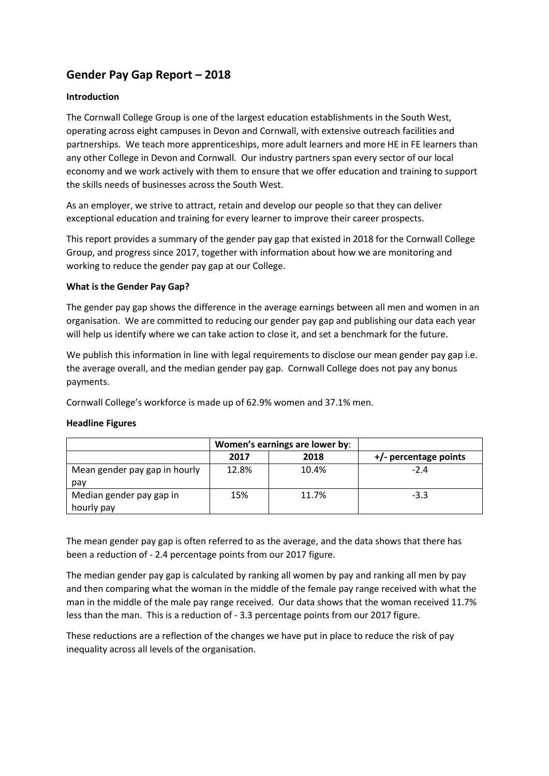# **Gender Pay Gap Report – 2018**

### **Introduction**

The Cornwall College Group is one of the largest education establishments in the South West, operating across eight campuses in Devon and Cornwall, with extensive outreach facilities and partnerships. We teach more apprenticeships, more adult learners and more HE in FE learners than any other College in Devon and Cornwall. Our industry partners span every sector of our local economy and we work actively with them to ensure that we offer education and training to support the skills needs of businesses across the South West.

As an employer, we strive to attract, retain and develop our people so that they can deliver exceptional education and training for every learner to improve their career prospects.

This report provides a summary of the gender pay gap that existed in 2018 for the Cornwall College Group, and progress since 2017, together with information about how we are monitoring and working to reduce the gender pay gap at our College.

#### **What is the Gender Pay Gap?**

The gender pay gap shows the difference in the average earnings between all men and women in an organisation. We are committed to reducing our gender pay gap and publishing our data each year will help us identify where we can take action to close it, and set a benchmark for the future.

We publish this information in line with legal requirements to disclose our mean gender pay gap i.e. the average overall, and the median gender pay gap. Cornwall College does not pay any bonus payments.

Cornwall College's workforce is made up of 62.9% women and 37.1% men.

#### **Headline Figures**

|                               | Women's earnings are lower by: |       |                         |
|-------------------------------|--------------------------------|-------|-------------------------|
|                               | 2017                           | 2018  | $+/-$ percentage points |
| Mean gender pay gap in hourly | 12.8%                          | 10.4% | $-2.4$                  |
| pay                           |                                |       |                         |
| Median gender pay gap in      | 15%                            | 11.7% | $-3.3$                  |
| hourly pay                    |                                |       |                         |

The mean gender pay gap is often referred to as the average, and the data shows that there has been a reduction of - 2.4 percentage points from our 2017 figure.

The median gender pay gap is calculated by ranking all women by pay and ranking all men by pay and then comparing what the woman in the middle of the female pay range received with what the man in the middle of the male pay range received. Our data shows that the woman received 11.7% less than the man. This is a reduction of - 3.3 percentage points from our 2017 figure.

These reductions are a reflection of the changes we have put in place to reduce the risk of pay inequality across all levels of the organisation.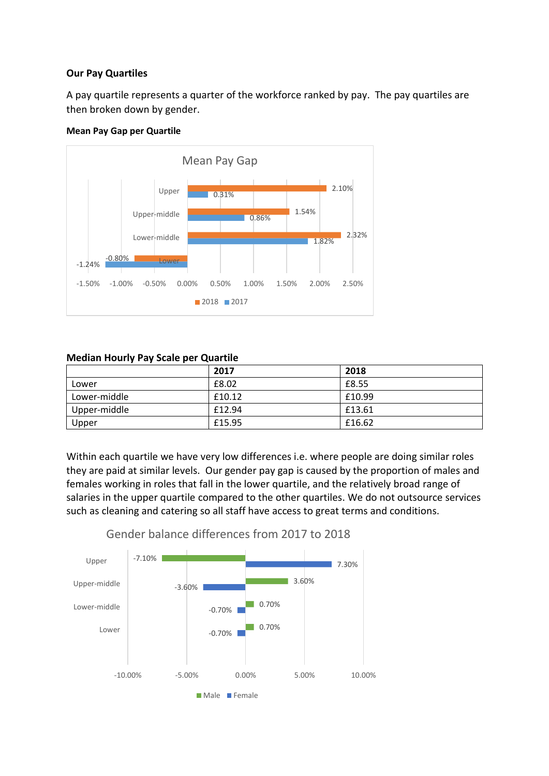## **Our Pay Quartiles**

A pay quartile represents a quarter of the workforce ranked by pay. The pay quartiles are then broken down by gender.

### **Mean Pay Gap per Quartile**



## **Median Hourly Pay Scale per Quartile**

|              | 2017   | 2018   |
|--------------|--------|--------|
| Lower        | £8.02  | £8.55  |
| Lower-middle | £10.12 | £10.99 |
| Upper-middle | £12.94 | £13.61 |
| Upper        | £15.95 | £16.62 |

Within each quartile we have very low differences i.e. where people are doing similar roles they are paid at similar levels. Our gender pay gap is caused by the proportion of males and females working in roles that fall in the lower quartile, and the relatively broad range of salaries in the upper quartile compared to the other quartiles. We do not outsource services such as cleaning and catering so all staff have access to great terms and conditions.